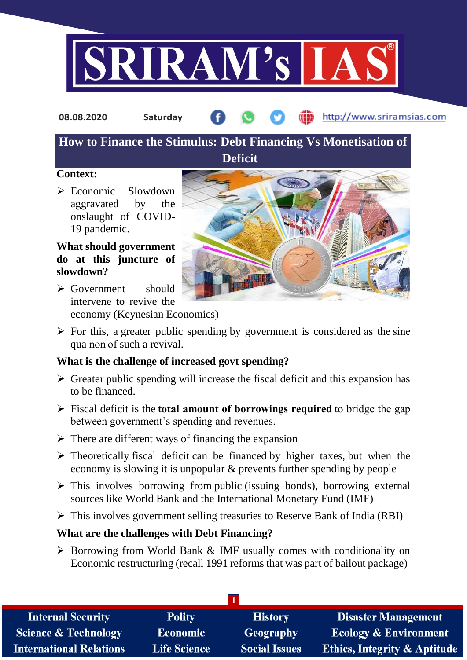

**08.08.2020 Saturday**

http://www.sriramsias.com

# **How to Finance the Stimulus: Debt Financing Vs Monetisation of**

**Deficit**

## **Context:**

 $\triangleright$  Economic Slowdown aggravated by the onslaught of COVID-19 pandemic.

## **What should government do at this juncture of slowdown?**

 Government should intervene to revive the economy (Keynesian Economics)



 $\triangleright$  For this, a greater public spending by government is considered as the sine qua non of such a revival.

## **What is the challenge of increased govt spending?**

- $\triangleright$  Greater public spending will increase the fiscal deficit and this expansion has to be financed.
- Fiscal deficit is the**total amount of borrowings required** to bridge the gap between government's spending and revenues.
- $\triangleright$  There are different ways of financing the expansion
- $\triangleright$  Theoretically fiscal deficit can be financed by higher taxes, but when the economy is slowing it is unpopular & prevents further spending by people
- $\triangleright$  This involves borrowing from public (issuing bonds), borrowing external sources like World Bank and the International Monetary Fund (IMF)
- $\triangleright$  This involves government selling treasuries to Reserve Bank of India (RBI)

# **What are the challenges with Debt Financing?**

 $\triangleright$  Borrowing from World Bank & IMF usually comes with conditionality on Economic restructuring (recall 1991 reforms that was part of bailout package)

| <b>Internal Security</b>        | <b>Polity</b>       | <b>History</b>       | <b>Disaster Management</b>              |  |  |
|---------------------------------|---------------------|----------------------|-----------------------------------------|--|--|
| <b>Science &amp; Technology</b> | Economic            | <b>Geography</b>     | <b>Ecology &amp; Environment</b>        |  |  |
| <b>International Relations</b>  | <b>Life Science</b> | <b>Social Issues</b> | <b>Ethics, Integrity &amp; Aptitude</b> |  |  |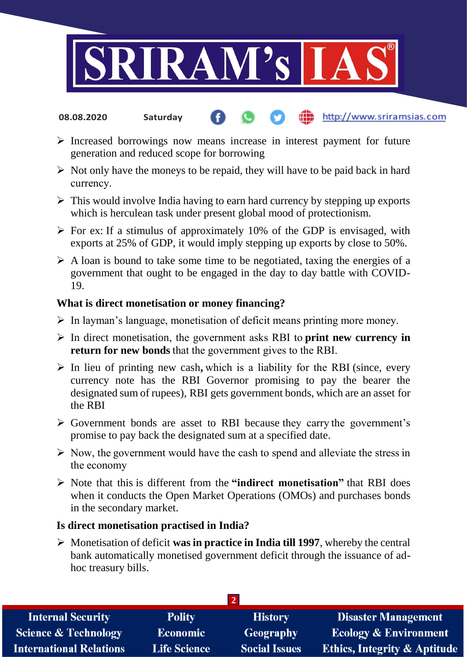

#### http://www.sriramsias.com **08.08.2020 Saturday**

- $\triangleright$  Increased borrowings now means increase in interest payment for future generation and reduced scope for borrowing
- $\triangleright$  Not only have the moneys to be repaid, they will have to be paid back in hard currency.
- $\triangleright$  This would involve India having to earn hard currency by stepping up exports which is herculean task under present global mood of protectionism.
- $\triangleright$  For ex: If a stimulus of approximately 10% of the GDP is envisaged, with exports at 25% of GDP, it would imply stepping up exports by close to 50%.
- $\triangleright$  A loan is bound to take some time to be negotiated, taxing the energies of a government that ought to be engaged in the day to day battle with COVID-19.

### **What is direct monetisation or money financing?**

- $\triangleright$  In layman's language, monetisation of deficit means printing more money.
- In direct monetisation, the government asks RBI to **print new currency in return for new bonds** that the government gives to the RBI.
- In lieu of printing new cash**,** which is a liability for the RBI (since, every currency note has the RBI Governor promising to pay the bearer the designated sum of rupees), RBI gets government bonds, which are an asset for the RBI
- Government bonds are asset to RBI because they carry the government's promise to pay back the designated sum at a specified date.
- $\triangleright$  Now, the government would have the cash to spend and alleviate the stress in the economy
- Note that this is different from the **"indirect monetisation"** that RBI does when it conducts the Open Market Operations (OMOs) and purchases bonds in the secondary market.

### **Is direct monetisation practised in India?**

 $\triangleright$  Monetisation of deficit **was in practice in India till 1997**, whereby the central bank automatically monetised government deficit through the issuance of adhoc treasury bills.

| <b>Internal Security</b>        | <b>Polity</b>       | <b>History</b>       | <b>Disaster Management</b>              |  |  |
|---------------------------------|---------------------|----------------------|-----------------------------------------|--|--|
| <b>Science &amp; Technology</b> | <b>Economic</b>     | <b>Geography</b>     | <b>Ecology &amp; Environment</b>        |  |  |
| <b>International Relations</b>  | <b>Life Science</b> | <b>Social Issues</b> | <b>Ethics, Integrity &amp; Aptitude</b> |  |  |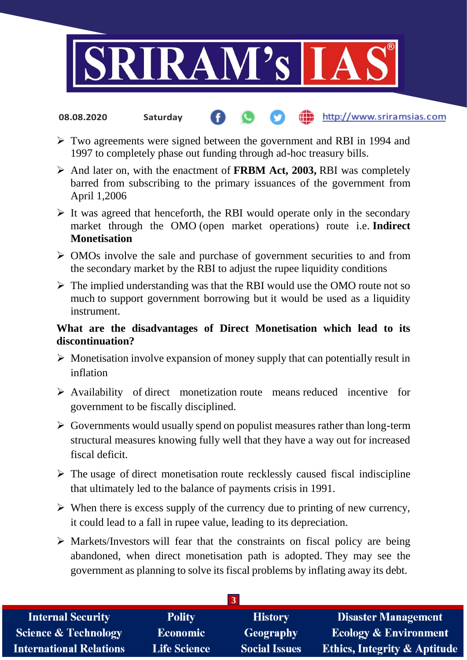

#### http://www.sriramsias.com **08.08.2020 Saturday**

- Two agreements were signed between the government and RBI in 1994 and 1997 to completely phase out funding through ad-hoc treasury bills.
- And later on, with the enactment of **FRBM Act, 2003,** RBI was completely barred from subscribing to the primary issuances of the government from April 1,2006
- $\triangleright$  It was agreed that henceforth, the RBI would operate only in the secondary market through the OMO (open market operations) route i.e. **Indirect Monetisation**
- $\triangleright$  OMOs involve the sale and purchase of government securities to and from the secondary market by the RBI to adjust the rupee liquidity conditions
- $\triangleright$  The implied understanding was that the RBI would use the OMO route not so much to support government borrowing but it would be used as a liquidity instrument.

## **What are the disadvantages of Direct Monetisation which lead to its discontinuation?**

- $\triangleright$  Monetisation involve expansion of money supply that can potentially result in inflation
- $\triangleright$  Availability of direct monetization route means reduced incentive for government to be fiscally disciplined.
- $\triangleright$  Governments would usually spend on populist measures rather than long-term structural measures knowing fully well that they have a way out for increased fiscal deficit.
- $\triangleright$  The usage of direct monetisation route recklessly caused fiscal indiscipline that ultimately led to the balance of payments crisis in 1991.
- $\triangleright$  When there is excess supply of the currency due to printing of new currency, it could lead to a fall in rupee value, leading to its depreciation.
- $\triangleright$  Markets/Investors will fear that the constraints on fiscal policy are being abandoned, when direct monetisation path is adopted. They may see the government as planning to solve its fiscal problems by inflating away its debt.

| 757                             |                     |                      |                                         |  |  |
|---------------------------------|---------------------|----------------------|-----------------------------------------|--|--|
| <b>Internal Security</b>        | <b>Polity</b>       | <b>History</b>       | <b>Disaster Management</b>              |  |  |
| <b>Science &amp; Technology</b> | Economic            | <b>Geography</b>     | <b>Ecology &amp; Environment</b>        |  |  |
| <b>International Relations</b>  | <b>Life Science</b> | <b>Social Issues</b> | <b>Ethics, Integrity &amp; Aptitude</b> |  |  |